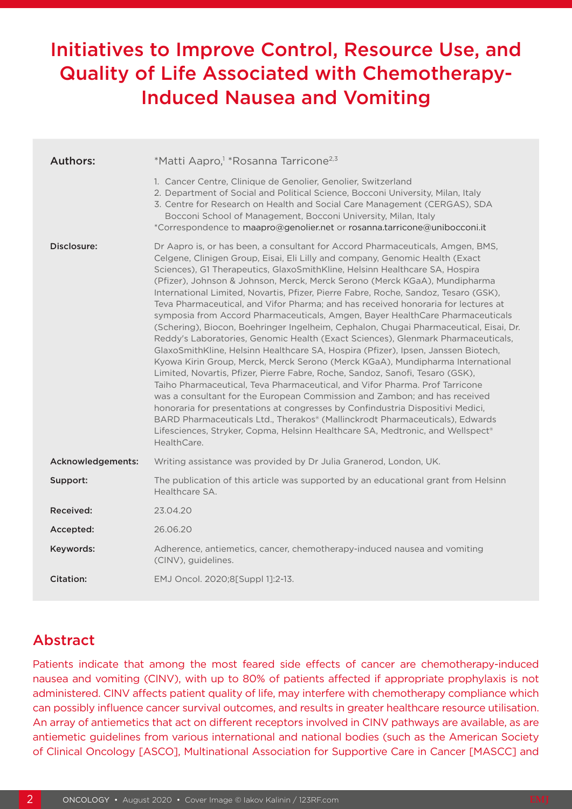# Initiatives to Improve Control, Resource Use, and Quality of Life Associated with Chemotherapy-Induced Nausea and Vomiting

| <b>Authors:</b>   | *Matti Aapro, <sup>1</sup> *Rosanna Tarricone <sup>2,3</sup>                                                                                                                                                                                                                                                                                                                                                                                                                                                                                                                                                                                                                                                                                                                                                                                                                                                                                                                                                                                                                                                                                                                                                                                                                                                                                                                                                                                                 |  |  |  |  |
|-------------------|--------------------------------------------------------------------------------------------------------------------------------------------------------------------------------------------------------------------------------------------------------------------------------------------------------------------------------------------------------------------------------------------------------------------------------------------------------------------------------------------------------------------------------------------------------------------------------------------------------------------------------------------------------------------------------------------------------------------------------------------------------------------------------------------------------------------------------------------------------------------------------------------------------------------------------------------------------------------------------------------------------------------------------------------------------------------------------------------------------------------------------------------------------------------------------------------------------------------------------------------------------------------------------------------------------------------------------------------------------------------------------------------------------------------------------------------------------------|--|--|--|--|
|                   | 1. Cancer Centre, Clinique de Genolier, Genolier, Switzerland<br>2. Department of Social and Political Science, Bocconi University, Milan, Italy<br>3. Centre for Research on Health and Social Care Management (CERGAS), SDA<br>Bocconi School of Management, Bocconi University, Milan, Italy<br>*Correspondence to maapro@genolier.net or rosanna.tarricone@unibocconi.it                                                                                                                                                                                                                                                                                                                                                                                                                                                                                                                                                                                                                                                                                                                                                                                                                                                                                                                                                                                                                                                                                 |  |  |  |  |
| Disclosure:       | Dr Aapro is, or has been, a consultant for Accord Pharmaceuticals, Amgen, BMS,<br>Celgene, Clinigen Group, Eisai, Eli Lilly and company, Genomic Health (Exact<br>Sciences), G1 Therapeutics, GlaxoSmithKline, Helsinn Healthcare SA, Hospira<br>(Pfizer), Johnson & Johnson, Merck, Merck Serono (Merck KGaA), Mundipharma<br>International Limited, Novartis, Pfizer, Pierre Fabre, Roche, Sandoz, Tesaro (GSK),<br>Teva Pharmaceutical, and Vifor Pharma; and has received honoraria for lectures at<br>symposia from Accord Pharmaceuticals, Amgen, Bayer HealthCare Pharmaceuticals<br>(Schering), Biocon, Boehringer Ingelheim, Cephalon, Chugai Pharmaceutical, Eisai, Dr.<br>Reddy's Laboratories, Genomic Health (Exact Sciences), Glenmark Pharmaceuticals,<br>GlaxoSmithKline, Helsinn Healthcare SA, Hospira (Pfizer), Ipsen, Janssen Biotech,<br>Kyowa Kirin Group, Merck, Merck Serono (Merck KGaA), Mundipharma International<br>Limited, Novartis, Pfizer, Pierre Fabre, Roche, Sandoz, Sanofi, Tesaro (GSK),<br>Taiho Pharmaceutical, Teva Pharmaceutical, and Vifor Pharma. Prof Tarricone<br>was a consultant for the European Commission and Zambon; and has received<br>honoraria for presentations at congresses by Confindustria Dispositivi Medici,<br>BARD Pharmaceuticals Ltd., Therakos® (Mallinckrodt Pharmaceuticals), Edwards<br>Lifesciences, Stryker, Copma, Helsinn Healthcare SA, Medtronic, and Wellspect®<br>HealthCare. |  |  |  |  |
| Acknowledgements: | Writing assistance was provided by Dr Julia Granerod, London, UK.                                                                                                                                                                                                                                                                                                                                                                                                                                                                                                                                                                                                                                                                                                                                                                                                                                                                                                                                                                                                                                                                                                                                                                                                                                                                                                                                                                                            |  |  |  |  |
| Support:          | The publication of this article was supported by an educational grant from Helsinn<br>Healthcare SA.                                                                                                                                                                                                                                                                                                                                                                                                                                                                                                                                                                                                                                                                                                                                                                                                                                                                                                                                                                                                                                                                                                                                                                                                                                                                                                                                                         |  |  |  |  |
| Received:         | 23.04.20                                                                                                                                                                                                                                                                                                                                                                                                                                                                                                                                                                                                                                                                                                                                                                                                                                                                                                                                                                                                                                                                                                                                                                                                                                                                                                                                                                                                                                                     |  |  |  |  |
| Accepted:         | 26.06.20                                                                                                                                                                                                                                                                                                                                                                                                                                                                                                                                                                                                                                                                                                                                                                                                                                                                                                                                                                                                                                                                                                                                                                                                                                                                                                                                                                                                                                                     |  |  |  |  |
| Keywords:         | Adherence, antiemetics, cancer, chemotherapy-induced nausea and vomiting<br>(CINV), guidelines.                                                                                                                                                                                                                                                                                                                                                                                                                                                                                                                                                                                                                                                                                                                                                                                                                                                                                                                                                                                                                                                                                                                                                                                                                                                                                                                                                              |  |  |  |  |
| Citation:         | EMJ Oncol. 2020;8[Suppl 1]:2-13.                                                                                                                                                                                                                                                                                                                                                                                                                                                                                                                                                                                                                                                                                                                                                                                                                                                                                                                                                                                                                                                                                                                                                                                                                                                                                                                                                                                                                             |  |  |  |  |

## Abstract

Patients indicate that among the most feared side effects of cancer are chemotherapy-induced nausea and vomiting (CINV), with up to 80% of patients affected if appropriate prophylaxis is not administered. CINV affects patient quality of life, may interfere with chemotherapy compliance which can possibly influence cancer survival outcomes, and results in greater healthcare resource utilisation. An array of antiemetics that act on different receptors involved in CINV pathways are available, as are antiemetic guidelines from various international and national bodies (such as the American Society of Clinical Oncology [ASCO], Multinational Association for Supportive Care in Cancer [MASCC] and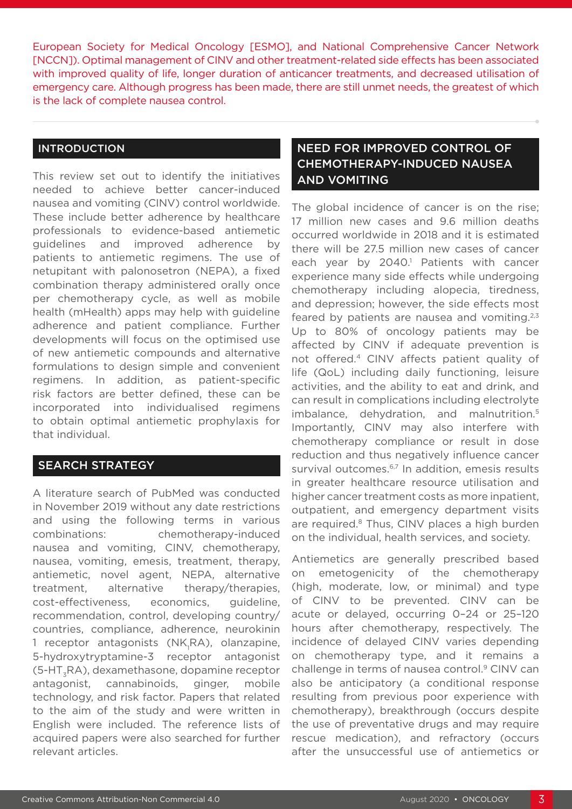European Society for Medical Oncology [ESMO], and National Comprehensive Cancer Network [NCCN]). Optimal management of CINV and other treatment-related side effects has been associated with improved quality of life, longer duration of anticancer treatments, and decreased utilisation of emergency care. Although progress has been made, there are still unmet needs, the greatest of which is the lack of complete nausea control.

### INTRODUCTION

This review set out to identify the initiatives needed to achieve better cancer-induced nausea and vomiting (CINV) control worldwide. These include better adherence by healthcare professionals to evidence-based antiemetic guidelines and improved adherence by patients to antiemetic regimens. The use of netupitant with palonosetron (NEPA), a fixed combination therapy administered orally once per chemotherapy cycle, as well as mobile health (mHealth) apps may help with guideline adherence and patient compliance. Further developments will focus on the optimised use of new antiemetic compounds and alternative formulations to design simple and convenient regimens. In addition, as patient-specific risk factors are better defined, these can be incorporated into individualised regimens to obtain optimal antiemetic prophylaxis for that individual.

### SEARCH STRATEGY

A literature search of PubMed was conducted in November 2019 without any date restrictions and using the following terms in various combinations: chemotherapy-induced nausea and vomiting, CINV, chemotherapy, nausea, vomiting, emesis, treatment, therapy, antiemetic, novel agent, NEPA, alternative treatment, alternative therapy/therapies, cost-effectiveness, economics, guideline, recommendation, control, developing country/ countries, compliance, adherence, neurokinin 1 receptor antagonists (NK<sub>1</sub>RA), olanzapine, 5-hydroxytryptamine-3 receptor antagonist (5-HT3RA), dexamethasone, dopamine receptor antagonist, cannabinoids, ginger, mobile technology, and risk factor. Papers that related to the aim of the study and were written in English were included. The reference lists of acquired papers were also searched for further relevant articles.

### NEED FOR IMPROVED CONTROL OF CHEMOTHERAPY-INDUCED NAUSEA AND VOMITING

The global incidence of cancer is on the rise; 17 million new cases and 9.6 million deaths occurred worldwide in 2018 and it is estimated there will be 27.5 million new cases of cancer each year by 2040.<sup>1</sup> Patients with cancer experience many side effects while undergoing chemotherapy including alopecia, tiredness, and depression; however, the side effects most feared by patients are nausea and vomiting. $2,3$ Up to 80% of oncology patients may be affected by CINV if adequate prevention is not offered.4 CINV affects patient quality of life (QoL) including daily functioning, leisure activities, and the ability to eat and drink, and can result in complications including electrolyte imbalance, dehydration, and malnutrition.<sup>5</sup> Importantly, CINV may also interfere with chemotherapy compliance or result in dose reduction and thus negatively influence cancer survival outcomes.<sup>6,7</sup> In addition, emesis results in greater healthcare resource utilisation and higher cancer treatment costs as more inpatient, outpatient, and emergency department visits are required.<sup>8</sup> Thus, CINV places a high burden on the individual, health services, and society.

Antiemetics are generally prescribed based on emetogenicity of the chemotherapy (high, moderate, low, or minimal) and type of CINV to be prevented. CINV can be acute or delayed, occurring 0–24 or 25–120 hours after chemotherapy, respectively. The incidence of delayed CINV varies depending on chemotherapy type, and it remains a challenge in terms of nausea control.<sup>9</sup> CINV can also be anticipatory (a conditional response resulting from previous poor experience with chemotherapy), breakthrough (occurs despite the use of preventative drugs and may require rescue medication), and refractory (occurs after the unsuccessful use of antiemetics or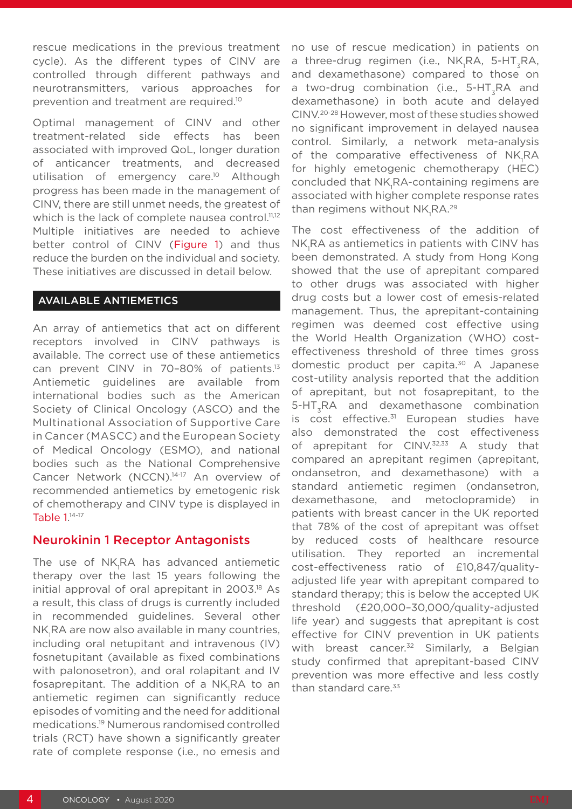rescue medications in the previous treatment cycle). As the different types of CINV are controlled through different pathways and neurotransmitters, various approaches for prevention and treatment are required.10

Optimal management of CINV and other treatment-related side effects has been associated with improved QoL, longer duration of anticancer treatments, and decreased utilisation of emergency care.<sup>10</sup> Although progress has been made in the management of CINV, there are still unmet needs, the greatest of which is the lack of complete nausea control.<sup>11,12</sup> Multiple initiatives are needed to achieve better control of CINV (Figure 1) and thus reduce the burden on the individual and society. These initiatives are discussed in detail below.

### AVAILABLE ANTIEMETICS

An array of antiemetics that act on different receptors involved in CINV pathways is available. The correct use of these antiemetics can prevent CINV in 70-80% of patients.<sup>13</sup> Antiemetic guidelines are available from international bodies such as the American Society of Clinical Oncology (ASCO) and the Multinational Association of Supportive Care in Cancer (MASCC) and the European Society of Medical Oncology (ESMO), and national bodies such as the National Comprehensive Cancer Network (NCCN).14-17 An overview of recommended antiemetics by emetogenic risk of chemotherapy and CINV type is displayed in Table 1. 14-17

### Neurokinin 1 Receptor Antagonists

The use of NK<sub>I</sub>RA has advanced antiemetic therapy over the last 15 years following the initial approval of oral aprepitant in 2003.18 As a result, this class of drugs is currently included in recommended guidelines. Several other NK<sub>1</sub>RA are now also available in many countries, including oral netupitant and intravenous (IV) fosnetupitant (available as fixed combinations with palonosetron), and oral rolapitant and IV fosaprepitant. The addition of a NK<sub>I</sub>RA to an antiemetic regimen can significantly reduce episodes of vomiting and the need for additional medications.19 Numerous randomised controlled trials (RCT) have shown a significantly greater rate of complete response (i.e., no emesis and

no use of rescue medication) in patients on a three-drug regimen (i.e., NK<sub>1</sub>RA, 5-HT<sub>3</sub>RA, and dexamethasone) compared to those on a two-drug combination (i.e., 5-HT<sub>z</sub>RA and dexamethasone) in both acute and delayed CINV.20-28 However, most of these studies showed no significant improvement in delayed nausea control. Similarly, a network meta-analysis of the comparative effectiveness of NK<sub>1</sub>RA for highly emetogenic chemotherapy (HEC) concluded that NK<sub>I</sub>RA-containing regimens are associated with higher complete response rates than regimens without  $\rm NK_I$ RA.<sup>29</sup>

The cost effectiveness of the addition of NK<sub>1</sub>RA as antiemetics in patients with CINV has been demonstrated. A study from Hong Kong showed that the use of aprepitant compared to other drugs was associated with higher drug costs but a lower cost of emesis-related management. Thus, the aprepitant-containing regimen was deemed cost effective using the World Health Organization (WHO) costeffectiveness threshold of three times gross domestic product per capita.<sup>30</sup> A Japanese cost-utility analysis reported that the addition of aprepitant, but not fosaprepitant, to the 5-HT3RA and dexamethasone combination is cost effective. $31$  European studies have also demonstrated the cost effectiveness of aprepitant for CINV.<sup>32,33</sup> A study that compared an aprepitant regimen (aprepitant, ondansetron, and dexamethasone) with a standard antiemetic regimen (ondansetron, dexamethasone, and metoclopramide) in patients with breast cancer in the UK reported that 78% of the cost of aprepitant was offset by reduced costs of healthcare resource utilisation. They reported an incremental cost-effectiveness ratio of £10,847/qualityadjusted life year with aprepitant compared to standard therapy; this is below the accepted UK threshold (£20,000–30,000/quality-adjusted life year) and suggests that aprepitant is cost effective for CINV prevention in UK patients with breast cancer.<sup>32</sup> Similarly, a Belgian study confirmed that aprepitant-based CINV prevention was more effective and less costly than standard care. $33$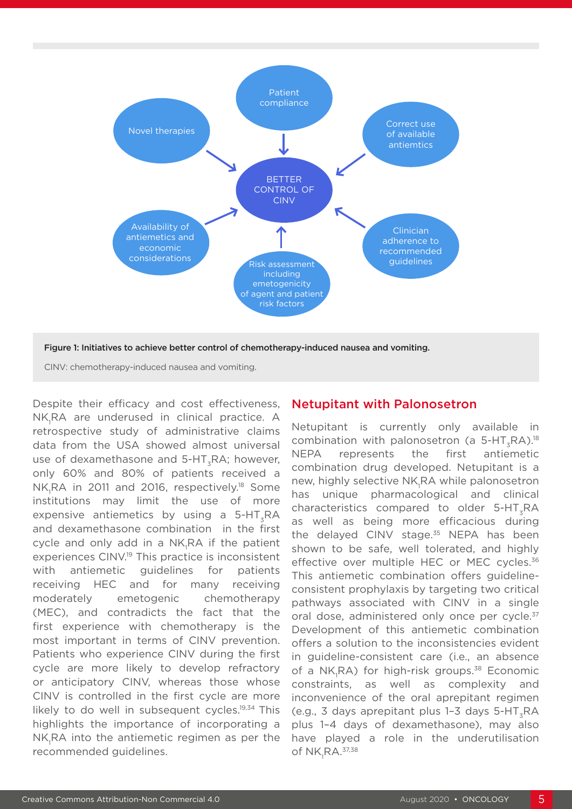

Figure 1: Initiatives to achieve better control of chemotherapy-induced nausea and vomiting.

CINV: chemotherapy-induced nausea and vomiting.

Despite their efficacy and cost effectiveness, NK<sub>1</sub>RA are underused in clinical practice. A retrospective study of administrative claims data from the USA showed almost universal use of dexamethasone and  $5-HT_zRA$ ; however, only 60% and 80% of patients received a NK<sub>1</sub>RA in 2011 and 2016, respectively.<sup>18</sup> Some institutions may limit the use of more expensive antiemetics by using a  $5-HT_zRA$ and dexamethasone combination in the first cycle and only add in a NK<sub>I</sub>RA if the patient experiences CINV.19 This practice is inconsistent with antiemetic guidelines for patients receiving HEC and for many receiving moderately emetogenic chemotherapy (MEC), and contradicts the fact that the first experience with chemotherapy is the most important in terms of CINV prevention. Patients who experience CINV during the first cycle are more likely to develop refractory or anticipatory CINV, whereas those whose CINV is controlled in the first cycle are more likely to do well in subsequent cycles.<sup>19,34</sup> This highlights the importance of incorporating a  $NK_{1}$ RA into the antiemetic regimen as per the recommended guidelines.

### Netupitant with Palonosetron

Netupitant is currently only available in combination with palonosetron (a  $5-HT_zRA$ ).<sup>18</sup> NEPA represents the first antiemetic combination drug developed. Netupitant is a new, highly selective NK<sub>1</sub>RA while palonosetron has unique pharmacological and clinical characteristics compared to older 5-HT<sub>-</sub>RA as well as being more efficacious during the delayed CINV stage. $35$  NEPA has been shown to be safe, well tolerated, and highly effective over multiple HEC or MEC cycles.<sup>36</sup> This antiemetic combination offers guidelineconsistent prophylaxis by targeting two critical pathways associated with CINV in a single oral dose, administered only once per cycle.<sup>37</sup> Development of this antiemetic combination offers a solution to the inconsistencies evident in guideline-consistent care (i.e., an absence of a NK<sub>1</sub>RA) for high-risk groups.<sup>38</sup> Economic constraints, as well as complexity and inconvenience of the oral aprepitant regimen  $(e.g., 3 days a prepi tant plus 1-3 days 5-HT, RA)$ plus 1–4 days of dexamethasone), may also have played a role in the underutilisation of  $\mathsf{NK}_{1}\mathsf{RA}.^{37,38}$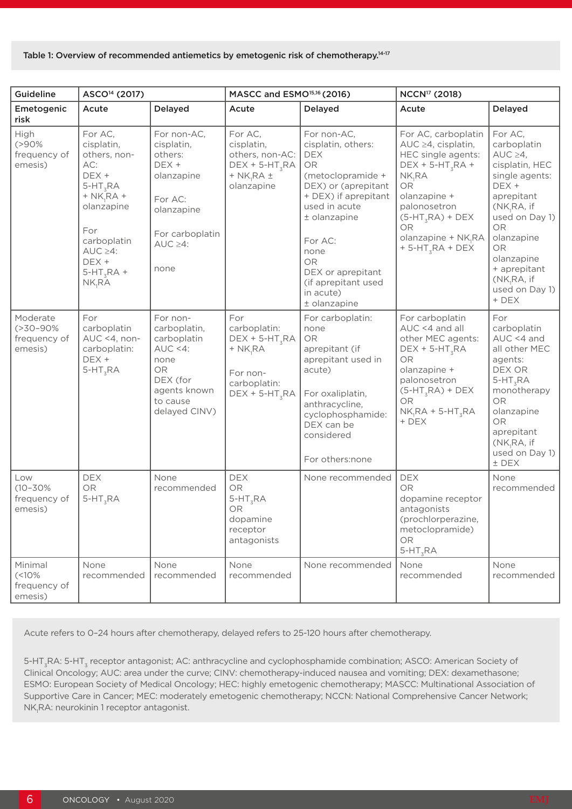#### Table 1: Overview of recommended antiemetics by emetogenic risk of chemotherapy.<sup>14-17</sup>

| Guideline                                              | ASCO <sup>14</sup> (2017)                                                                                                                                                                            |                                                                                                                                   | MASCC and ESMO <sup>15,16</sup> (2016)                                                                               |                                                                                                                                                                                                                                                                     | NCCN <sup>17</sup> (2018)                                                                                                                                                                                                        |                                                                                                                                                                                                                                             |
|--------------------------------------------------------|------------------------------------------------------------------------------------------------------------------------------------------------------------------------------------------------------|-----------------------------------------------------------------------------------------------------------------------------------|----------------------------------------------------------------------------------------------------------------------|---------------------------------------------------------------------------------------------------------------------------------------------------------------------------------------------------------------------------------------------------------------------|----------------------------------------------------------------------------------------------------------------------------------------------------------------------------------------------------------------------------------|---------------------------------------------------------------------------------------------------------------------------------------------------------------------------------------------------------------------------------------------|
| Emetogenic<br>risk                                     | Acute                                                                                                                                                                                                | Delayed                                                                                                                           | Acute                                                                                                                | Delayed                                                                                                                                                                                                                                                             | Acute                                                                                                                                                                                                                            | <b>Delayed</b>                                                                                                                                                                                                                              |
| High<br>$( > 90\%$<br>frequency of<br>emesis)          | For AC,<br>cisplatin,<br>others, non-<br>AC:<br>DEX +<br>$5-HT_zRA$<br>$+ N\overline{K}_1 R A +$<br>olanzapine<br>For<br>carboplatin<br>$AUC \geq 4$ :<br>DEX +<br>$5-HT_zRA +$<br>NK <sub>R</sub> A | For non-AC,<br>cisplatin,<br>others:<br>DEX +<br>olanzapine<br>For AC:<br>olanzapine<br>For carboplatin<br>$AUC \geq 4$ :<br>none | For AC,<br>cisplatin,<br>others, non-AC:<br>DEX + 5-HT <sub>3</sub> RA<br>$+$ NK <sub>1</sub> RA $\pm$<br>olanzapine | For non-AC,<br>cisplatin, others:<br><b>DEX</b><br>OR<br>(metoclopramide +<br>DEX) or (aprepitant<br>+ DEX) if aprepitant<br>used in acute<br>± olanzapine<br>For AC:<br>none<br><b>OR</b><br>DEX or aprepitant<br>(if aprepitant used<br>in acute)<br>± olanzapine | For AC, carboplatin<br>AUC ≥4, cisplatin,<br>HEC single agents:<br>$DEX + 5-HT_zRA +$<br>NK <sub>R</sub> A<br><b>OR</b><br>olanzapine +<br>palonosetron<br>$(5-HT_{3}RA) + DEX$<br>OR<br>olanzapine + NK,RA<br>$+5-HT_zRA + DEX$ | For AC,<br>carboplatin<br>$AUC \geq 4$ ,<br>cisplatin, HEC<br>single agents:<br>DEX +<br>aprepitant<br>(NK,RA, if<br>used on Day 1)<br>OR<br>olanzapine<br><b>OR</b><br>olanzapine<br>+ aprepitant<br>(NK,RA, if<br>used on Day 1)<br>+ DEX |
| Moderate<br>$( > 30 - 90\%$<br>frequency of<br>emesis) | For<br>carboplatin<br>$AUC < 4$ , non-<br>carboplatin:<br>DEX +<br>$5-HT_zRA$                                                                                                                        | For non-<br>carboplatin,<br>carboplatin<br>$AUC < 4$ :<br>none<br>OR<br>DEX (for<br>agents known<br>to cause<br>delayed CINV)     | For<br>carboplatin:<br>$DEX + 5-HT_zRA$<br>$+$ NK, RA<br>For non-<br>carboplatin:<br>$DEX + 5-HT_zRA$                | For carboplatin:<br>none<br><b>OR</b><br>aprepitant (if<br>aprepitant used in<br>acute)<br>For oxaliplatin,<br>anthracycline,<br>cyclophosphamide:<br>DEX can be<br>considered<br>For others:none                                                                   | For carboplatin<br>AUC <4 and all<br>other MEC agents:<br>$DEX + 5-HT_zRA$<br>OR<br>olanzapine +<br>palonosetron<br>$(5-HT_{3}RA) + DEX$<br><b>OR</b><br>$NK_1RA + 5-HT_2RA$<br>+ DEX                                            | For<br>carboplatin<br>$AUC < 4$ and<br>all other MEC<br>agents:<br>DEX OR<br>$5-HT_zRA$<br>monotherapy<br>OR<br>olanzapine<br><b>OR</b><br>aprepitant<br>(NK,RA, if<br>used on Day 1)<br>$±$ DEX                                            |
| Low<br>$(10 - 30\%)$<br>frequency of<br>emesis)        | <b>DEX</b><br>OR<br>$5-HT_zRA$                                                                                                                                                                       | None<br>recommended                                                                                                               | <b>DEX</b><br>OR<br>$5-HT_zRA$<br>OR<br>dopamine<br>receptor<br>antagonists                                          | None recommended                                                                                                                                                                                                                                                    | <b>DEX</b><br><b>OR</b><br>dopamine receptor<br>antagonists<br>(prochlorperazine,<br>metoclopramide)<br><b>OR</b><br>$5-HT_zRA$                                                                                                  | None<br>recommended                                                                                                                                                                                                                         |
| Minimal<br>$(10\%$<br>frequency of<br>emesis)          | None<br>recommended                                                                                                                                                                                  | None<br>recommended                                                                                                               | None<br>recommended                                                                                                  | None recommended                                                                                                                                                                                                                                                    | None<br>recommended                                                                                                                                                                                                              | None<br>recommended                                                                                                                                                                                                                         |

Acute refers to 0–24 hours after chemotherapy, delayed refers to 25-120 hours after chemotherapy.

5-HT<sub>z</sub>RA: 5-HT<sub>z</sub> receptor antagonist; AC: anthracycline and cyclophosphamide combination; ASCO: American Society of Clinical Oncology; AUC: area under the curve; CINV: chemotherapy-induced nausea and vomiting; DEX: dexamethasone; ESMO: European Society of Medical Oncology; HEC: highly emetogenic chemotherapy; MASCC: Multinational Association of Supportive Care in Cancer; MEC: moderately emetogenic chemotherapy; NCCN: National Comprehensive Cancer Network; NK<sub>I</sub>RA: neurokinin 1 receptor antagonist.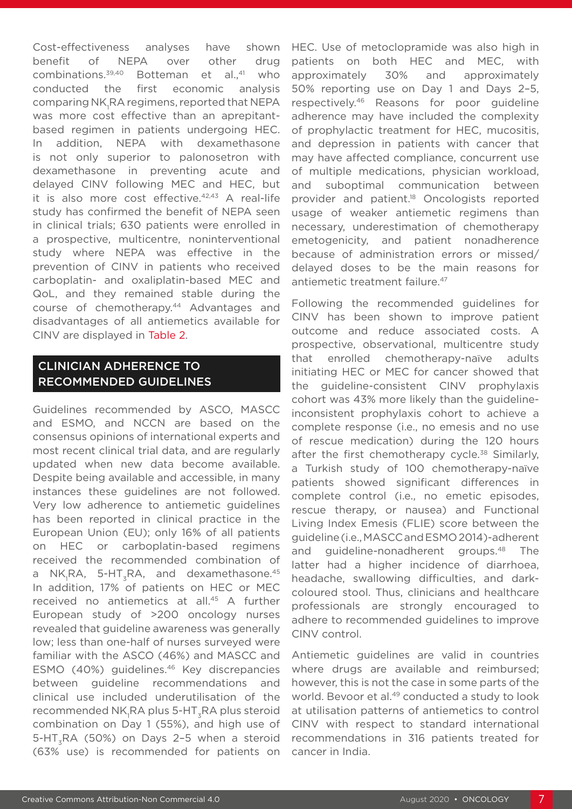Cost-effectiveness analyses have shown benefit of NEPA over other drug combinations.<sup>39,40</sup> Botteman et al.,<sup>41</sup> who conducted the first economic analysis comparing NK<sub>I</sub>RA regimens, reported that NEPA was more cost effective than an aprepitantbased regimen in patients undergoing HEC. In addition, NEPA with dexamethasone is not only superior to palonosetron with dexamethasone in preventing acute and delayed CINV following MEC and HEC, but it is also more cost effective.42,43 A real-life study has confirmed the benefit of NEPA seen in clinical trials; 630 patients were enrolled in a prospective, multicentre, noninterventional study where NEPA was effective in the prevention of CINV in patients who received carboplatin- and oxaliplatin-based MEC and QoL, and they remained stable during the course of chemotherapy.44 Advantages and disadvantages of all antiemetics available for CINV are displayed in Table 2.

### CLINICIAN ADHERENCE TO RECOMMENDED GUIDELINES

Guidelines recommended by ASCO, MASCC and ESMO, and NCCN are based on the consensus opinions of international experts and most recent clinical trial data, and are regularly updated when new data become available. Despite being available and accessible, in many instances these guidelines are not followed. Very low adherence to antiemetic guidelines has been reported in clinical practice in the European Union (EU); only 16% of all patients on HEC or carboplatin-based regimens received the recommended combination of a NK<sub>I</sub>RA, 5-HT<sub>3</sub>RA, and dexamethasone.<sup>45</sup> In addition, 17% of patients on HEC or MEC received no antiemetics at all.45 A further European study of >200 oncology nurses revealed that guideline awareness was generally low; less than one-half of nurses surveyed were familiar with the ASCO (46%) and MASCC and ESMO (40%) guidelines.46 Key discrepancies between guideline recommendations and clinical use included underutilisation of the recommended NK<sub>1</sub>RA plus 5-HT $_{\rm 3}$ RA plus steroid combination on Day 1 (55%), and high use of 5-HT<sub>z</sub>RA (50%) on Days 2-5 when a steroid (63% use) is recommended for patients on

HEC. Use of metoclopramide was also high in patients on both HEC and MEC, with approximately 30% and approximately 50% reporting use on Day 1 and Days 2–5, respectively.46 Reasons for poor guideline adherence may have included the complexity of prophylactic treatment for HEC, mucositis, and depression in patients with cancer that may have affected compliance, concurrent use of multiple medications, physician workload, and suboptimal communication between provider and patient.18 Oncologists reported usage of weaker antiemetic regimens than necessary, underestimation of chemotherapy emetogenicity, and patient nonadherence because of administration errors or missed/ delayed doses to be the main reasons for antiemetic treatment failure.<sup>47</sup>

Following the recommended guidelines for CINV has been shown to improve patient outcome and reduce associated costs. A prospective, observational, multicentre study that enrolled chemotherapy-naïve adults initiating HEC or MEC for cancer showed that the guideline-consistent CINV prophylaxis cohort was 43% more likely than the guidelineinconsistent prophylaxis cohort to achieve a complete response (i.e., no emesis and no use of rescue medication) during the 120 hours after the first chemotherapy cycle.<sup>38</sup> Similarly, a Turkish study of 100 chemotherapy-naïve patients showed significant differences in complete control (i.e., no emetic episodes, rescue therapy, or nausea) and Functional Living Index Emesis (FLIE) score between the guideline (i.e., MASCC and ESMO 2014)-adherent and guideline-nonadherent groups.48 The latter had a higher incidence of diarrhoea, headache, swallowing difficulties, and darkcoloured stool. Thus, clinicians and healthcare professionals are strongly encouraged to adhere to recommended guidelines to improve CINV control.

Antiemetic guidelines are valid in countries where drugs are available and reimbursed; however, this is not the case in some parts of the world. Bevoor et al.<sup>49</sup> conducted a study to look at utilisation patterns of antiemetics to control CINV with respect to standard international recommendations in 316 patients treated for cancer in India.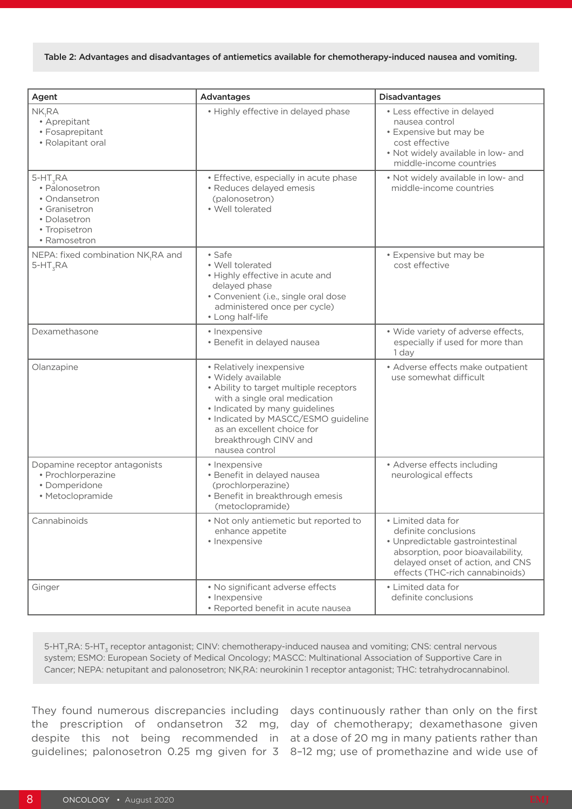| Agent                                                                                                           | Advantages                                                                                                                                                                                                                                                                  | <b>Disadvantages</b>                                                                                                                                                                       |
|-----------------------------------------------------------------------------------------------------------------|-----------------------------------------------------------------------------------------------------------------------------------------------------------------------------------------------------------------------------------------------------------------------------|--------------------------------------------------------------------------------------------------------------------------------------------------------------------------------------------|
| NK,RA<br>• Aprepitant<br>• Fosaprepitant<br>• Rolapitant oral                                                   | • Highly effective in delayed phase                                                                                                                                                                                                                                         | • Less effective in delayed<br>nausea control<br>• Expensive but may be<br>cost effective<br>. Not widely available in low- and<br>middle-income countries                                 |
| $5-HT_zRA$<br>• Palonosetron<br>• Ondansetron<br>• Granisetron<br>• Dolasetron<br>• Tropisetron<br>• Ramosetron | · Effective, especially in acute phase<br>· Reduces delayed emesis<br>(palonosetron)<br>· Well tolerated                                                                                                                                                                    | . Not widely available in low- and<br>middle-income countries                                                                                                                              |
| NEPA: fixed combination NK,RA and<br>$5-HT_zRA$                                                                 | • Safe<br>• Well tolerated<br>• Highly effective in acute and<br>delayed phase<br>• Convenient (i.e., single oral dose<br>administered once per cycle)<br>• Long half-life                                                                                                  | • Expensive but may be<br>cost effective                                                                                                                                                   |
| Dexamethasone                                                                                                   | • Inexpensive<br>· Benefit in delayed nausea                                                                                                                                                                                                                                | • Wide variety of adverse effects,<br>especially if used for more than<br>1 dav                                                                                                            |
| Olanzapine                                                                                                      | • Relatively inexpensive<br>· Widely available<br>• Ability to target multiple receptors<br>with a single oral medication<br>• Indicated by many guidelines<br>• Indicated by MASCC/ESMO guideline<br>as an excellent choice for<br>breakthrough CINV and<br>nausea control | • Adverse effects make outpatient<br>use somewhat difficult                                                                                                                                |
| Dopamine receptor antagonists<br>• Prochlorperazine<br>· Domperidone<br>· Metoclopramide                        | • Inexpensive<br>· Benefit in delayed nausea<br>(prochlorperazine)<br>• Benefit in breakthrough emesis<br>(metoclopramide)                                                                                                                                                  | • Adverse effects including<br>neurological effects                                                                                                                                        |
| Cannabinoids                                                                                                    | . Not only antiemetic but reported to<br>enhance appetite<br>• Inexpensive                                                                                                                                                                                                  | • Limited data for<br>definite conclusions<br>• Unpredictable gastrointestinal<br>absorption, poor bioavailability,<br>delayed onset of action, and CNS<br>effects (THC-rich cannabinoids) |
| Ginger                                                                                                          | • No significant adverse effects<br>• Inexpensive<br>· Reported benefit in acute nausea                                                                                                                                                                                     | • Limited data for<br>definite conclusions                                                                                                                                                 |

5-HT<sub>z</sub>RA: 5-HT<sub>z</sub> receptor antagonist; CINV: chemotherapy-induced nausea and vomiting; CNS: central nervous system; ESMO: European Society of Medical Oncology; MASCC: Multinational Association of Supportive Care in Cancer; NEPA: netupitant and palonosetron; NK<sub>1</sub>RA: neurokinin 1 receptor antagonist; THC: tetrahydrocannabinol.

They found numerous discrepancies including days continuously rather than only on the first the prescription of ondansetron 32 mg, day of chemotherapy; dexamethasone given despite this not being recommended in at a dose of 20 mg in many patients rather than guidelines; palonosetron 0.25 mg given for 3 8–12 mg; use of promethazine and wide use of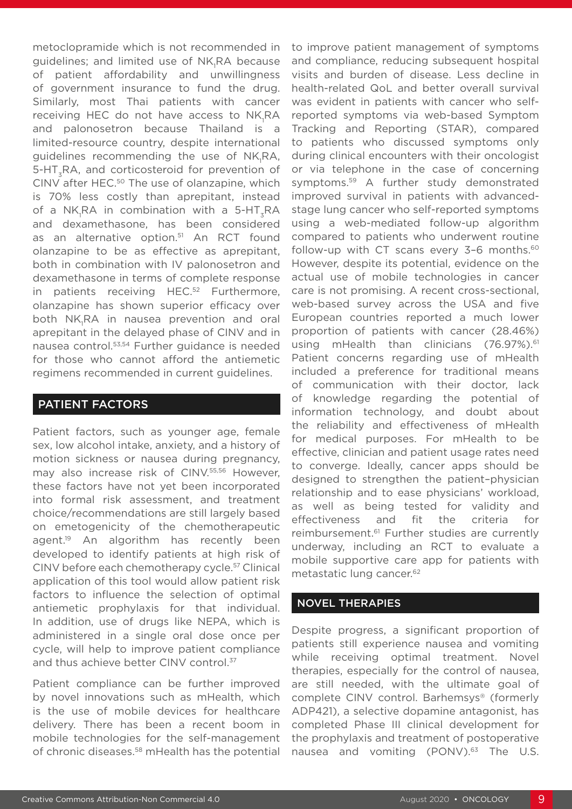metoclopramide which is not recommended in guidelines; and limited use of NK<sub>I</sub>RA because of patient affordability and unwillingness of government insurance to fund the drug. Similarly, most Thai patients with cancer receiving HEC do not have access to NK<sub>1</sub>RA and palonosetron because Thailand is a limited-resource country, despite international guidelines recommending the use of NK<sub>I</sub>RA, 5-HT<sub>3</sub>RA, and corticosteroid for prevention of CINV after HEC.<sup>50</sup> The use of olanzapine, which is 70% less costly than aprepitant, instead of a NK<sub>1</sub>RA in combination with a 5-HT<sub>3</sub>RA and dexamethasone, has been considered as an alternative option.<sup>51</sup> An RCT found olanzapine to be as effective as aprepitant, both in combination with IV palonosetron and dexamethasone in terms of complete response in patients receiving HEC.<sup>52</sup> Furthermore, olanzapine has shown superior efficacy over both NK<sub>1</sub>RA in nausea prevention and oral aprepitant in the delayed phase of CINV and in nausea control.53,54 Further guidance is needed for those who cannot afford the antiemetic regimens recommended in current guidelines.

### PATIENT FACTORS

Patient factors, such as younger age, female sex, low alcohol intake, anxiety, and a history of motion sickness or nausea during pregnancy, may also increase risk of CINV.55,56 However, these factors have not yet been incorporated into formal risk assessment, and treatment choice/recommendations are still largely based on emetogenicity of the chemotherapeutic agent.<sup>19</sup> An algorithm has recently been developed to identify patients at high risk of CINV before each chemotherapy cycle.57 Clinical application of this tool would allow patient risk factors to influence the selection of optimal antiemetic prophylaxis for that individual. In addition, use of drugs like NEPA, which is administered in a single oral dose once per cycle, will help to improve patient compliance and thus achieve better CINV control.<sup>37</sup>

Patient compliance can be further improved by novel innovations such as mHealth, which is the use of mobile devices for healthcare delivery. There has been a recent boom in mobile technologies for the self-management of chronic diseases.58 mHealth has the potential

to improve patient management of symptoms and compliance, reducing subsequent hospital visits and burden of disease. Less decline in health-related QoL and better overall survival was evident in patients with cancer who selfreported symptoms via web-based Symptom Tracking and Reporting (STAR), compared to patients who discussed symptoms only during clinical encounters with their oncologist or via telephone in the case of concerning symptoms.59 A further study demonstrated improved survival in patients with advancedstage lung cancer who self-reported symptoms using a web-mediated follow-up algorithm compared to patients who underwent routine follow-up with CT scans every  $3-6$  months.<sup>60</sup> However, despite its potential, evidence on the actual use of mobile technologies in cancer care is not promising. A recent cross-sectional, web-based survey across the USA and five European countries reported a much lower proportion of patients with cancer (28.46%) using mHealth than clinicians (76.97%).<sup>61</sup> Patient concerns regarding use of mHealth included a preference for traditional means of communication with their doctor, lack of knowledge regarding the potential of information technology, and doubt about the reliability and effectiveness of mHealth for medical purposes. For mHealth to be effective, clinician and patient usage rates need to converge. Ideally, cancer apps should be designed to strengthen the patient–physician relationship and to ease physicians' workload, as well as being tested for validity and effectiveness and fit the criteria for reimbursement.61 Further studies are currently underway, including an RCT to evaluate a mobile supportive care app for patients with metastatic lung cancer.62

### NOVEL THERAPIES

Despite progress, a significant proportion of patients still experience nausea and vomiting while receiving optimal treatment. Novel therapies, especially for the control of nausea, are still needed, with the ultimate goal of complete CINV control. Barhemsys<sup>®</sup> (formerly ADP421), a selective dopamine antagonist, has completed Phase III clinical development for the prophylaxis and treatment of postoperative nausea and vomiting (PONV).<sup>63</sup> The U.S.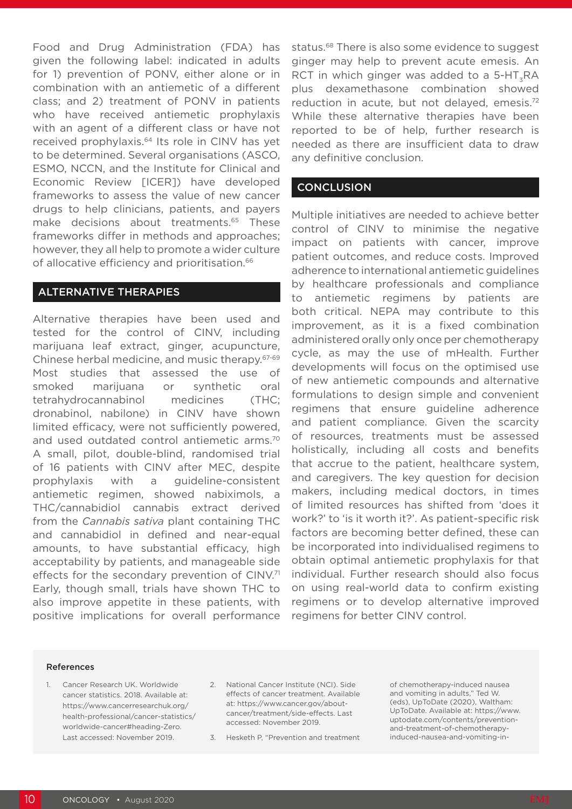Food and Drug Administration (FDA) has given the following label: indicated in adults for 1) prevention of PONV, either alone or in combination with an antiemetic of a different class; and 2) treatment of PONV in patients who have received antiemetic prophylaxis with an agent of a different class or have not received prophylaxis.<sup>64</sup> Its role in CINV has yet to be determined. Several organisations (ASCO, ESMO, NCCN, and the Institute for Clinical and Economic Review [ICER]) have developed frameworks to assess the value of new cancer drugs to help clinicians, patients, and payers make decisions about treatments.<sup>65</sup> These frameworks differ in methods and approaches; however, they all help to promote a wider culture of allocative efficiency and prioritisation.<sup>66</sup>

### ALTERNATIVE THERAPIES

Alternative therapies have been used and tested for the control of CINV, including marijuana leaf extract, ginger, acupuncture, Chinese herbal medicine, and music therapy.67-69 Most studies that assessed the use of smoked marijuana or synthetic oral tetrahydrocannabinol medicines (THC; dronabinol, nabilone) in CINV have shown limited efficacy, were not sufficiently powered, and used outdated control antiemetic arms.<sup>70</sup> A small, pilot, double-blind, randomised trial of 16 patients with CINV after MEC, despite prophylaxis with a guideline-consistent antiemetic regimen, showed nabiximols, a THC/cannabidiol cannabis extract derived from the *Cannabis sativa* plant containing THC and cannabidiol in defined and near-equal amounts, to have substantial efficacy, high acceptability by patients, and manageable side effects for the secondary prevention of CINV.<sup>71</sup> Early, though small, trials have shown THC to also improve appetite in these patients, with positive implications for overall performance

status.<sup>68</sup> There is also some evidence to suggest ginger may help to prevent acute emesis. An RCT in which ginger was added to a 5-HT<sub>-</sub>RA plus dexamethasone combination showed reduction in acute, but not delayed, emesis.<sup>72</sup> While these alternative therapies have been reported to be of help, further research is needed as there are insufficient data to draw any definitive conclusion.

### **CONCLUSION**

Multiple initiatives are needed to achieve better control of CINV to minimise the negative impact on patients with cancer, improve patient outcomes, and reduce costs. Improved adherence to international antiemetic guidelines by healthcare professionals and compliance to antiemetic regimens by patients are both critical. NEPA may contribute to this improvement, as it is a fixed combination administered orally only once per chemotherapy cycle, as may the use of mHealth. Further developments will focus on the optimised use of new antiemetic compounds and alternative formulations to design simple and convenient regimens that ensure guideline adherence and patient compliance. Given the scarcity of resources, treatments must be assessed holistically, including all costs and benefits that accrue to the patient, healthcare system, and caregivers. The key question for decision makers, including medical doctors, in times of limited resources has shifted from 'does it work?' to 'is it worth it?'. As patient-specific risk factors are becoming better defined, these can be incorporated into individualised regimens to obtain optimal antiemetic prophylaxis for that individual. Further research should also focus on using real-world data to confirm existing regimens or to develop alternative improved regimens for better CINV control.

#### References

- 1. Cancer Research UK. Worldwide cancer statistics. 2018. Available at: https://www.cancerresearchuk.org/ health-professional/cancer-statistics/ worldwide-cancer#heading-Zero. Last accessed: November 2019.
- 2. National Cancer Institute (NCI). Side effects of cancer treatment. Available at: https://www.cancer.gov/aboutcancer/treatment/side-effects. Last accessed: November 2019.
- 3. Hesketh P, "Prevention and treatment

of chemotherapy-induced nausea and vomiting in adults," Ted W. (eds), UpToDate (2020), Waltham: UpToDate. Available at: https://www. uptodate.com/contents/preventionand-treatment-of-chemotherapyinduced-nausea-and-vomiting-in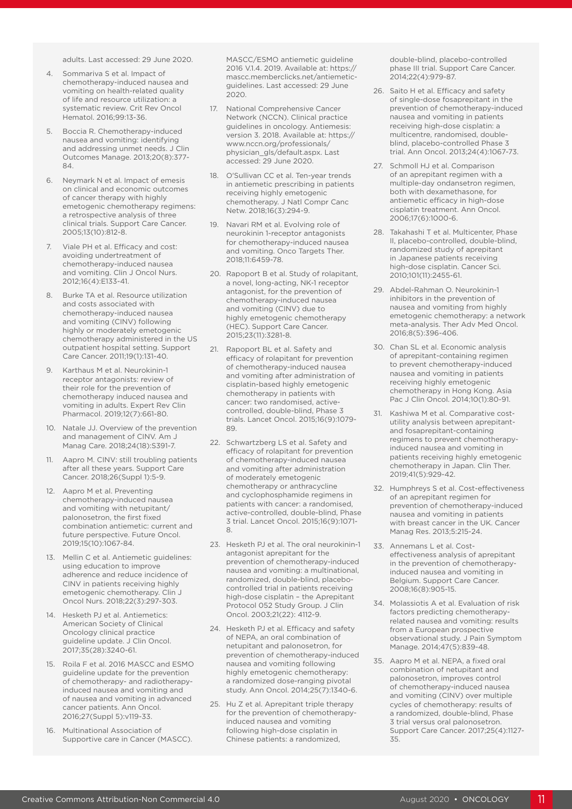adults. Last accessed: 29 June 2020.

- 4. Sommariva S et al. Impact of chemotherapy-induced nausea and vomiting on health-related quality of life and resource utilization: a systematic review. Crit Rev Oncol Hematol. 2016;99:13-36.
- 5. Boccia R. Chemotherapy-induced nausea and vomiting: identifying and addressing unmet needs. J Clin Outcomes Manage. 2013;20(8):377- 84.
- Neymark N et al. Impact of emesis on clinical and economic outcomes of cancer therapy with highly emetogenic chemotherapy regimens: a retrospective analysis of three clinical trials. Support Care Cancer. 2005;13(10):812-8.
- Viale PH et al. Efficacy and cost: avoiding undertreatment of chemotherapy-induced nausea and vomiting. Clin J Oncol Nurs. 2012;16(4):E133-41.
- 8. Burke TA et al. Resource utilization and costs associated with chemotherapy-induced nausea and vomiting (CINV) following highly or moderately emetogenic chemotherapy administered in the US outpatient hospital setting. Support Care Cancer. 2011;19(1):131-40.
- 9. Karthaus M et al. Neurokinin-1 receptor antagonists: review of their role for the prevention of chemotherapy induced nausea and vomiting in adults. Expert Rev Clin Pharmacol. 2019;12(7):661-80.
- 10. Natale JJ. Overview of the prevention and management of CINV. Am J Manag Care. 2018;24(18):S391-7.
- 11. Aapro M. CINV: still troubling patients after all these years. Support Care Cancer. 2018;26(Suppl 1):5-9.
- 12. Aapro M et al. Preventing chemotherapy-induced nausea and vomiting with netupitant/ palonosetron, the first fixed combination antiemetic: current and future perspective. Future Oncol. 2019;15(10):1067-84.
- 13. Mellin C et al. Antiemetic guidelines: using education to improve adherence and reduce incidence of CINV in patients receiving highly emetogenic chemotherapy. Clin J Oncol Nurs. 2018;22(3):297-303.
- 14. Hesketh PJ et al. Antiemetics: American Society of Clinical Oncology clinical practice guideline update. J Clin Oncol. 2017;35(28):3240-61.
- 15. Roila F et al. 2016 MASCC and ESMO guideline update for the prevention of chemotherapy- and radiotherapyinduced nausea and vomiting and of nausea and vomiting in advanced cancer patients. Ann Oncol. 2016;27(Suppl 5):v119-33.
- 16. Multinational Association of Supportive care in Cancer (MASCC).

MASCC/ESMO antiemetic guideline 2016 V.1.4. 2019. Available at: https:// mascc.memberclicks.net/antiemeticguidelines. Last accessed: 29 June 2020.

- 17. National Comprehensive Cancer Network (NCCN). Clinical practice guidelines in oncology. Antiemesis: version 3. 2018. Available at: https:// www.nccn.org/professionals/ physician\_gls/default.aspx. Last accessed: 29 June 2020.
- 18. O'Sullivan CC et al. Ten-year trends in antiemetic prescribing in patients receiving highly emetogenic chemotherapy. J Natl Compr Canc Netw. 2018;16(3):294-9.
- 19. Navari RM et al. Evolving role of neurokinin 1-receptor antagonists for chemotherapy-induced nausea and vomiting. Onco Targets Ther. 2018;11:6459-78.
- 20. Rapoport B et al. Study of rolapitant, a novel, long-acting, NK-1 receptor antagonist, for the prevention of chemotherapy-induced nausea and vomiting (CINV) due to highly emetogenic chemotherapy (HEC). Support Care Cancer. 2015;23(11):3281-8.
- 21. Rapoport BL et al. Safety and efficacy of rolapitant for prevention of chemotherapy-induced nausea and vomiting after administration of cisplatin-based highly emetogenic chemotherapy in patients with cancer: two randomised, activecontrolled, double-blind, Phase 3 trials. Lancet Oncol. 2015;16(9):1079- 89.
- 22. Schwartzberg LS et al. Safety and efficacy of rolapitant for prevention of chemotherapy-induced nausea and vomiting after administration of moderately emetogenic chemotherapy or anthracycline and cyclophosphamide regimens in patients with cancer: a randomised, active-controlled, double-blind, Phase 3 trial. Lancet Oncol. 2015;16(9):1071- 8.
- 23. Hesketh PJ et al. The oral neurokinin-1 antagonist aprepitant for the prevention of chemotherapy-induced nausea and vomiting: a multinational, randomized, double-blind, placebocontrolled trial in patients receiving high-dose cisplatin – the Aprepitant Protocol 052 Study Group. J Clin Oncol. 2003;21(22): 4112-9.
- 24. Hesketh PJ et al. Efficacy and safety of NEPA, an oral combination of netupitant and palonosetron, for prevention of chemotherapy-induced nausea and vomiting following highly emetogenic chemotherapy: a randomized dose-ranging pivotal study. Ann Oncol. 2014;25(7):1340-6.
- 25. Hu Z et al. Aprepitant triple therapy for the prevention of chemotherapyinduced nausea and vomiting following high-dose cisplatin in Chinese patients: a randomized,

double-blind, placebo-controlled phase III trial. Support Care Cancer. 2014;22(4):979-87.

- 26. Saito H et al. Efficacy and safety of single-dose fosaprepitant in the prevention of chemotherapy-induced nausea and vomiting in patients receiving high-dose cisplatin: a multicentre, randomised, doubleblind, placebo-controlled Phase 3 trial. Ann Oncol. 2013;24(4):1067-73.
- 27. Schmoll HJ et al. Comparison of an aprepitant regimen with a multiple-day ondansetron regimen, both with dexamethasone, for antiemetic efficacy in high-dose cisplatin treatment. Ann Oncol. 2006;17(6):1000-6.
- 28. Takahashi T et al. Multicenter, Phase II, placebo-controlled, double-blind, randomized study of aprepitant in Japanese patients receiving high-dose cisplatin. Cancer Sci. 2010;101(11):2455-61.
- 29. Abdel-Rahman O. Neurokinin-1 inhibitors in the prevention of nausea and vomiting from highly emetogenic chemotherapy: a network meta-analysis. Ther Adv Med Oncol. 2016;8(5):396-406.
- 30. Chan SL et al. Economic analysis of aprepitant-containing regimen to prevent chemotherapy-induced nausea and vomiting in patients receiving highly emetogenic chemotherapy in Hong Kong. Asia Pac J Clin Oncol. 2014;10(1):80-91.
- 31. Kashiwa M et al. Comparative costutility analysis between aprepitantand fosaprepitant-containing regimens to prevent chemotherapyinduced nausea and vomiting in patients receiving highly emetogenic chemotherapy in Japan. Clin Ther. 2019;41(5):929-42.
- 32. Humphreys S et al. Cost-effectiveness of an aprepitant regimen for prevention of chemotherapy-induced nausea and vomiting in patients with breast cancer in the UK. Cancer Manag Res. 2013;5:215-24.
- 33. Annemans L et al. Costeffectiveness analysis of aprepitant in the prevention of chemotherapyinduced nausea and vomiting in Belgium. Support Care Cancer. 2008;16(8):905-15.
- 34. Molassiotis A et al. Evaluation of risk factors predicting chemotherapyrelated nausea and vomiting: results from a European prospective observational study. J Pain Symptom Manage. 2014;47(5):839-48.
- 35. Aapro M et al. NEPA, a fixed oral combination of netupitant and palonosetron, improves control of chemotherapy-induced nausea and vomiting (CINV) over multiple cycles of chemotherapy: results of a randomized, double-blind, Phase 3 trial versus oral palonosetron. Support Care Cancer. 2017;25(4):1127- 35.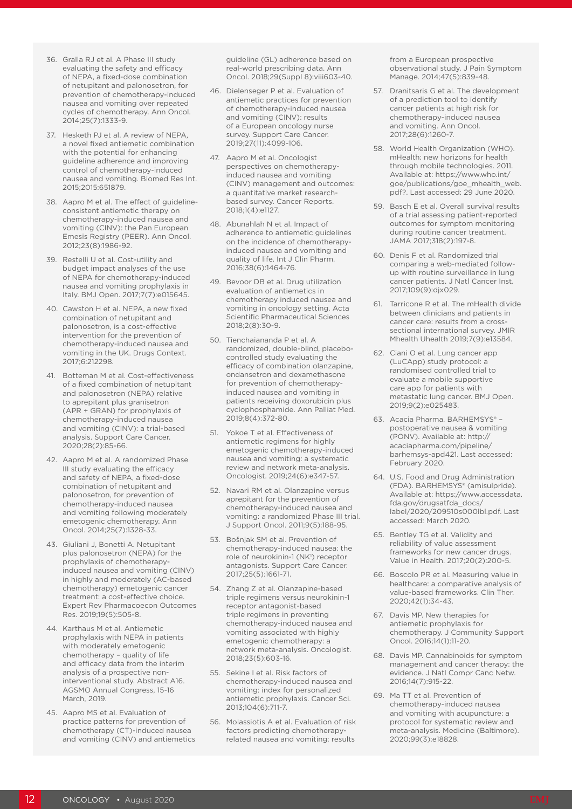- 36. Gralla RJ et al. A Phase III study evaluating the safety and efficacy of NEPA, a fixed-dose combination of netupitant and palonosetron, for prevention of chemotherapy-induced nausea and vomiting over repeated cycles of chemotherapy. Ann Oncol. 2014;25(7):1333-9.
- 37. Hesketh PJ et al. A review of NEPA, a novel fixed antiemetic combination with the potential for enhancing guideline adherence and improving control of chemotherapy-induced nausea and vomiting. Biomed Res Int. 2015;2015:651879.
- 38. Aapro M et al. The effect of guidelineconsistent antiemetic therapy on chemotherapy-induced nausea and vomiting (CINV): the Pan European Emesis Registry (PEER). Ann Oncol. 2012;23(8):1986-92.
- 39. Restelli U et al. Cost-utility and budget impact analyses of the use of NEPA for chemotherapy-induced nausea and vomiting prophylaxis in Italy. BMJ Open. 2017;7(7):e015645.
- 40. Cawston H et al. NEPA, a new fixed combination of netupitant and palonosetron, is a cost-effective intervention for the prevention of chemotherapy-induced nausea and vomiting in the UK. Drugs Context. 2017;6:212298.
- 41. Botteman M et al. Cost-effectiveness of a fixed combination of netupitant and palonosetron (NEPA) relative to aprepitant plus granisetron (APR + GRAN) for prophylaxis of chemotherapy-induced nausea and vomiting (CINV): a trial-based analysis. Support Care Cancer. 2020;28(2):85-66.
- 42. Aapro M et al. A randomized Phase III study evaluating the efficacy and safety of NEPA, a fixed-dose combination of netupitant and palonosetron, for prevention of chemotherapy-induced nausea and vomiting following moderately emetogenic chemotherapy. Ann Oncol. 2014;25(7):1328-33.
- 43. Giuliani J, Bonetti A. Netupitant plus palonosetron (NEPA) for the prophylaxis of chemotherapyinduced nausea and vomiting (CINV) in highly and moderately (AC-based chemotherapy) emetogenic cancer treatment: a cost-effective choice. Expert Rev Pharmacoecon Outcomes Res. 2019;19(5):505-8.
- 44. Karthaus M et al. Antiemetic prophylaxis with NEPA in patients with moderately emetogenic chemotherapy – quality of life and efficacy data from the interim analysis of a prospective noninterventional study. Abstract A16. AGSMO Annual Congress, 15-16 March, 2019.
- 45. Aapro MS et al. Evaluation of practice patterns for prevention of chemotherapy (CT)-induced nausea and vomiting (CINV) and antiemetics

guideline (GL) adherence based on real-world prescribing data. Ann Oncol. 2018;29(Suppl 8):viii603-40.

- 46. Dielenseger P et al. Evaluation of antiemetic practices for prevention of chemotherapy-induced nausea and vomiting (CINV): results of a European oncology nurse survey. Support Care Cancer. 2019;27(11):4099-106.
- 47. Aapro M et al. Oncologist perspectives on chemotherapyinduced nausea and vomiting (CINV) management and outcomes: a quantitative market researchbased survey. Cancer Reports. 2018;1(4):e1127.
- 48. Abunahlah N et al. Impact of adherence to antiemetic quidelines on the incidence of chemotherapyinduced nausea and vomiting and quality of life. Int J Clin Pharm. 2016;38(6):1464-76.
- 49. Bevoor DB et al. Drug utilization evaluation of antiemetics in chemotherapy induced nausea and vomiting in oncology setting. Acta Scientific Pharmaceutical Sciences 2018;2(8):30-9.
- 50. Tienchaiananda P et al. A randomized, double-blind, placebocontrolled study evaluating the efficacy of combination olanzapine, ondansetron and dexamethasone for prevention of chemotherapyinduced nausea and vomiting in patients receiving doxorubicin plus cyclophosphamide. Ann Palliat Med. 2019;8(4):372-80.
- 51. Yokoe T et al. Effectiveness of antiemetic regimens for highly emetogenic chemotherapy-induced nausea and vomiting: a systematic review and network meta-analysis. Oncologist. 2019;24(6):e347-57.
- 52. Navari RM et al. Olanzapine versus aprepitant for the prevention of chemotherapy-induced nausea and vomiting: a randomized Phase III trial. J Support Oncol. 2011;9(5):188-95.
- 53. Bošnjak SM et al. Prevention of chemotherapy-induced nausea: the role of neurokinin-1 (NK<sup>1</sup>) receptor antagonists. Support Care Cancer. 2017;25(5):1661-71.
- 54. Zhang Z et al. Olanzapine-based triple regimens versus neurokinin-1 receptor antagonist-based triple regimens in preventing chemotherapy-induced nausea and vomiting associated with highly emetogenic chemotherapy: a network meta-analysis. Oncologist. 2018;23(5):603-16.
- 55. Sekine I et al. Risk factors of chemotherapy-induced nausea and vomiting: index for personalized antiemetic prophylaxis. Cancer Sci. 2013;104(6):711-7.
- 56. Molassiotis A et al. Evaluation of risk factors predicting chemotherapyrelated nausea and vomiting: results

from a European prospective observational study. J Pain Symptom Manage. 2014;47(5):839-48.

- 57. Dranitsaris G et al. The development of a prediction tool to identify cancer patients at high risk for chemotherapy-induced nausea and vomiting. Ann Oncol. 2017;28(6):1260-7.
- 58. World Health Organization (WHO). mHealth: new horizons for health through mobile technologies. 2011. Available at: https://www.who.int/ goe/publications/goe\_mhealth\_web. pdf?. Last accessed: 29 June 2020.
- 59. Basch E et al. Overall survival results of a trial assessing patient-reported outcomes for symptom monitoring during routine cancer treatment. JAMA 2017;318(2):197-8.
- 60. Denis F et al. Randomized trial comparing a web-mediated followup with routine surveillance in lung cancer patients. J Natl Cancer Inst. 2017;109(9):djx029.
- 61. Tarricone R et al. The mHealth divide between clinicians and patients in cancer care: results from a crosssectional international survey. JMIR Mhealth Uhealth 2019;7(9):e13584.
- 62. Ciani O et al. Lung cancer app (LuCApp) study protocol: a randomised controlled trial to evaluate a mobile supportive care app for patients with metastatic lung cancer. BMJ Open. 2019;9(2):e025483.
- 63. Acacia Pharma. BARHEMSYS® postoperative nausea & vomiting (PONV). Available at: http:// acaciapharma.com/pipeline/ barhemsys-apd421. Last accessed: February 2020.
- 64. U.S. Food and Drug Administration (FDA). BARHEMSYS® (amisulpride). Available at: https://www.accessdata. fda.gov/drugsatfda\_docs/ label/2020/209510s000lbl.pdf. Last accessed: March 2020.
- 65. Bentley TG et al. Validity and reliability of value assessment frameworks for new cancer drugs. Value in Health. 2017;20(2):200-5.
- 66. Boscolo PR et al. Measuring value in healthcare: a comparative analysis of value-based frameworks. Clin Ther. 2020;42(1):34-43.
- 67. Davis MP. New therapies for antiemetic prophylaxis for chemotherapy. J Community Support Oncol. 2016;14(1):11-20.
- 68. Davis MP. Cannabinoids for symptom management and cancer therapy: the evidence. J Natl Compr Canc Netw. 2016;14(7):915-22.
- 69. Ma TT et al. Prevention of chemotherapy-induced nausea and vomiting with acupuncture: a protocol for systematic review and meta-analysis. Medicine (Baltimore). 2020;99(3):e18828.